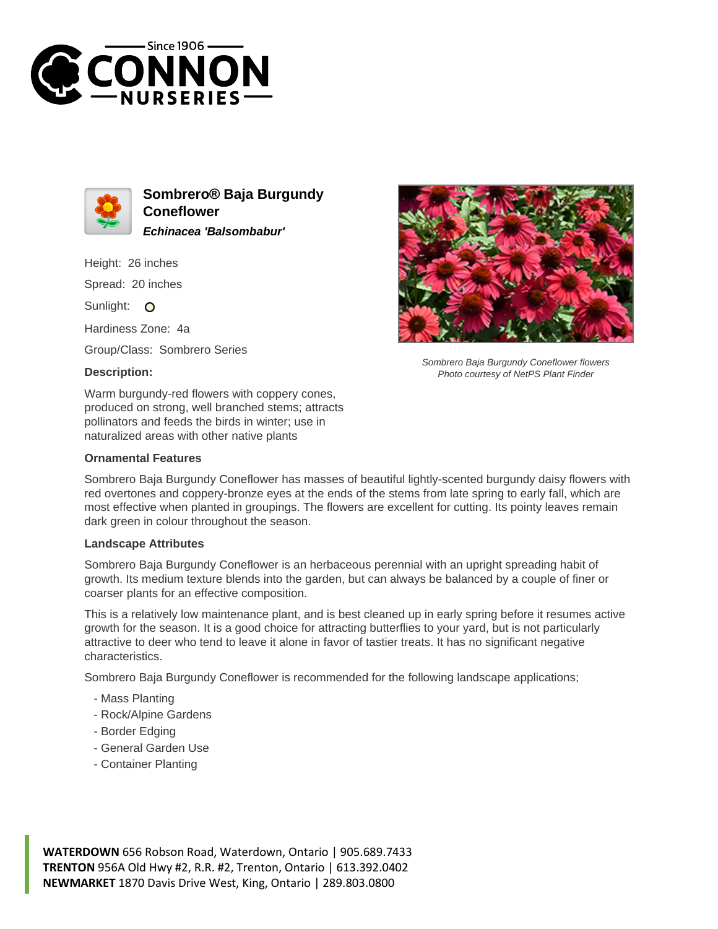



**Sombrero® Baja Burgundy Coneflower Echinacea 'Balsombabur'**

Height: 26 inches

Spread: 20 inches

Sunlight: O

Hardiness Zone: 4a

Group/Class: Sombrero Series

## **Description:**

Warm burgundy-red flowers with coppery cones, produced on strong, well branched stems; attracts pollinators and feeds the birds in winter; use in naturalized areas with other native plants

## **Ornamental Features**

Sombrero Baja Burgundy Coneflower flowers Photo courtesy of NetPS Plant Finder

Sombrero Baja Burgundy Coneflower has masses of beautiful lightly-scented burgundy daisy flowers with red overtones and coppery-bronze eyes at the ends of the stems from late spring to early fall, which are most effective when planted in groupings. The flowers are excellent for cutting. Its pointy leaves remain dark green in colour throughout the season.

## **Landscape Attributes**

Sombrero Baja Burgundy Coneflower is an herbaceous perennial with an upright spreading habit of growth. Its medium texture blends into the garden, but can always be balanced by a couple of finer or coarser plants for an effective composition.

This is a relatively low maintenance plant, and is best cleaned up in early spring before it resumes active growth for the season. It is a good choice for attracting butterflies to your yard, but is not particularly attractive to deer who tend to leave it alone in favor of tastier treats. It has no significant negative characteristics.

Sombrero Baja Burgundy Coneflower is recommended for the following landscape applications;

- Mass Planting
- Rock/Alpine Gardens
- Border Edging
- General Garden Use
- Container Planting

**WATERDOWN** 656 Robson Road, Waterdown, Ontario | 905.689.7433 **TRENTON** 956A Old Hwy #2, R.R. #2, Trenton, Ontario | 613.392.0402 **NEWMARKET** 1870 Davis Drive West, King, Ontario | 289.803.0800